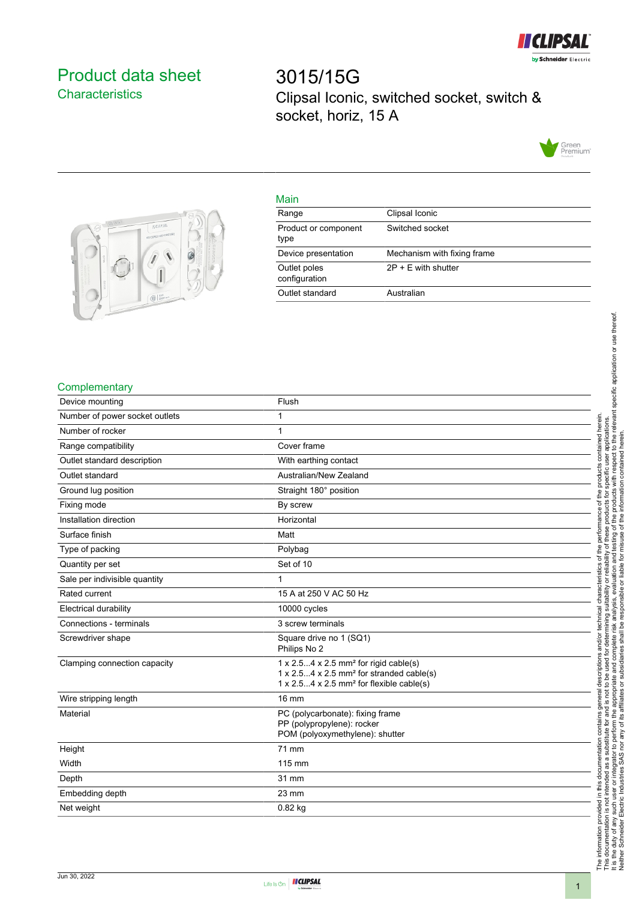

# <span id="page-0-0"></span>Product data sheet **Characteristics**

3015/15G Clipsal Iconic, switched socket, switch & socket, horiz, 15 A





## Main

| IV121111                      |                             |
|-------------------------------|-----------------------------|
| Range                         | Clipsal Iconic              |
| Product or component<br>type  | Switched socket             |
| Device presentation           | Mechanism with fixing frame |
| Outlet poles<br>configuration | $2P + E$ with shutter       |
| Outlet standard               | Australian                  |
|                               |                             |

### **Complementary**

| Device mounting                | Flush                                                                                                                                                                                                 |
|--------------------------------|-------------------------------------------------------------------------------------------------------------------------------------------------------------------------------------------------------|
| Number of power socket outlets | 1                                                                                                                                                                                                     |
| Number of rocker               | 1                                                                                                                                                                                                     |
| Range compatibility            | Cover frame                                                                                                                                                                                           |
| Outlet standard description    | With earthing contact                                                                                                                                                                                 |
| Outlet standard                | Australian/New Zealand                                                                                                                                                                                |
| Ground lug position            | Straight 180° position                                                                                                                                                                                |
| Fixing mode                    | By screw                                                                                                                                                                                              |
| Installation direction         | Horizontal                                                                                                                                                                                            |
| Surface finish                 | Matt                                                                                                                                                                                                  |
| Type of packing                | Polybag                                                                                                                                                                                               |
| Quantity per set               | Set of 10                                                                                                                                                                                             |
| Sale per indivisible quantity  | 1                                                                                                                                                                                                     |
| Rated current                  | 15 A at 250 V AC 50 Hz                                                                                                                                                                                |
| <b>Electrical durability</b>   | 10000 cycles                                                                                                                                                                                          |
| Connections - terminals        | 3 screw terminals                                                                                                                                                                                     |
| Screwdriver shape              | Square drive no 1 (SQ1)<br>Philips No 2                                                                                                                                                               |
| Clamping connection capacity   | $1 \times 2.54 \times 2.5$ mm <sup>2</sup> for rigid cable(s)<br>$1 \times 2.54 \times 2.5$ mm <sup>2</sup> for stranded cable(s)<br>$1 \times 2.54 \times 2.5$ mm <sup>2</sup> for flexible cable(s) |
| Wire stripping length          | 16 mm                                                                                                                                                                                                 |
| Material                       | PC (polycarbonate): fixing frame<br>PP (polypropylene): rocker<br>POM (polyoxymethylene): shutter                                                                                                     |
| Height                         | 71 mm                                                                                                                                                                                                 |
| Width                          | 115 mm                                                                                                                                                                                                |
| Depth                          | 31 mm                                                                                                                                                                                                 |
| Embedding depth                | $23 \text{ mm}$                                                                                                                                                                                       |
| Net weight                     | 0.82 kg                                                                                                                                                                                               |